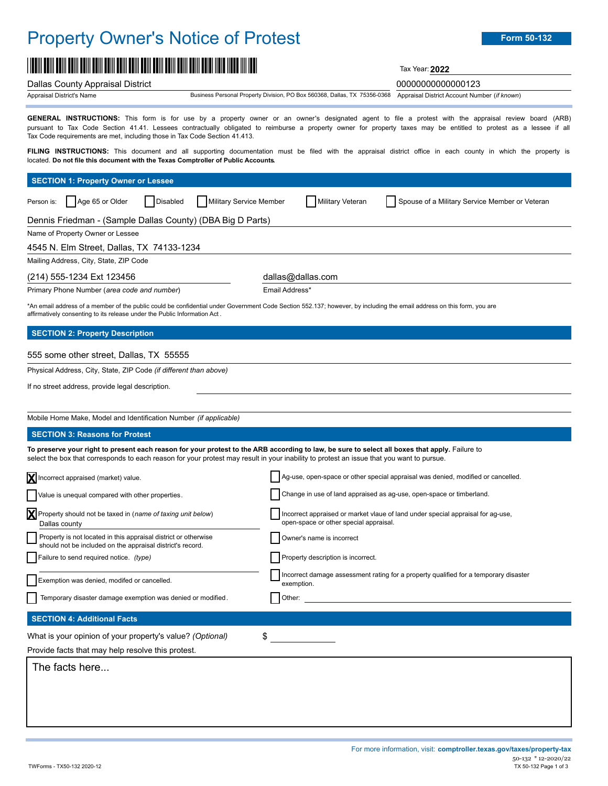## Property Owner's Notice of Protest **Form 50-132**

# \*00000000000000123\* Tax Year:**<sup>2022</sup>**

Dallas County Appraisal District 00000000000000123

Appraisal District's Name

**GENERAL INSTRUCTIONS:** This form is for use by a property owner or an owner's designated agent to file a protest with the appraisal review board (ARB) pursuant to Tax Code Section 41.41. Lessees contractually obligated to reimburse a property owner for property taxes may be entitled to protest as a lessee if all Tax Code requirements are met, including those in Tax Code Section 41.413.

FILING INSTRUCTIONS: This document and all supporting documentation must be filed with the appraisal district office in each county in which the property is located. **Do not file this document with the Texas Comptroller of Public Accounts.**

| <b>SECTION 1: Property Owner or Lessee</b>                                                                                                                                                                                                                                                  |                                                                                                                                                                                          |  |
|---------------------------------------------------------------------------------------------------------------------------------------------------------------------------------------------------------------------------------------------------------------------------------------------|------------------------------------------------------------------------------------------------------------------------------------------------------------------------------------------|--|
| Age 65 or Older<br>Military Service Member<br>Disabled<br>Person is:                                                                                                                                                                                                                        | <b>Military Veteran</b><br>Spouse of a Military Service Member or Veteran                                                                                                                |  |
| Dennis Friedman - (Sample Dallas County) (DBA Big D Parts)                                                                                                                                                                                                                                  |                                                                                                                                                                                          |  |
| Name of Property Owner or Lessee                                                                                                                                                                                                                                                            |                                                                                                                                                                                          |  |
| 4545 N. Elm Street, Dallas, TX 74133-1234                                                                                                                                                                                                                                                   |                                                                                                                                                                                          |  |
| Mailing Address, City, State, ZIP Code                                                                                                                                                                                                                                                      |                                                                                                                                                                                          |  |
| (214) 555-1234 Ext 123456                                                                                                                                                                                                                                                                   | dallas@dallas.com                                                                                                                                                                        |  |
| Primary Phone Number (area code and number)<br>affirmatively consenting to its release under the Public Information Act.                                                                                                                                                                    | Email Address*<br>*An email address of a member of the public could be confidential under Government Code Section 552.137; however, by including the email address on this form, you are |  |
| <b>SECTION 2: Property Description</b>                                                                                                                                                                                                                                                      |                                                                                                                                                                                          |  |
| 555 some other street, Dallas, TX 55555                                                                                                                                                                                                                                                     |                                                                                                                                                                                          |  |
| Physical Address, City, State, ZIP Code (if different than above)                                                                                                                                                                                                                           |                                                                                                                                                                                          |  |
| If no street address, provide legal description.                                                                                                                                                                                                                                            |                                                                                                                                                                                          |  |
|                                                                                                                                                                                                                                                                                             |                                                                                                                                                                                          |  |
| Mobile Home Make, Model and Identification Number (if applicable)                                                                                                                                                                                                                           |                                                                                                                                                                                          |  |
| <b>SECTION 3: Reasons for Protest</b>                                                                                                                                                                                                                                                       |                                                                                                                                                                                          |  |
| To preserve your right to present each reason for your protest to the ARB according to law, be sure to select all boxes that apply. Failure to<br>select the box that corresponds to each reason for your protest may result in your inability to protest an issue that you want to pursue. |                                                                                                                                                                                          |  |
| X Incorrect appraised (market) value.                                                                                                                                                                                                                                                       | Ag-use, open-space or other special appraisal was denied, modified or cancelled.                                                                                                         |  |
| Value is unequal compared with other properties.                                                                                                                                                                                                                                            | Change in use of land appraised as ag-use, open-space or timberland.                                                                                                                     |  |
| Property should not be taxed in (name of taxing unit below)<br>Dallas county                                                                                                                                                                                                                | Incorrect appraised or market vlaue of land under special appraisal for ag-use,<br>open-space or other special appraisal.                                                                |  |
| Property is not located in this appraisal district or otherwise<br>should not be included on the appraisal district's record.                                                                                                                                                               | Owner's name is incorrect                                                                                                                                                                |  |
| Failure to send required notice. (type)                                                                                                                                                                                                                                                     | Property description is incorrect.                                                                                                                                                       |  |
| Exemption was denied, modifed or cancelled.                                                                                                                                                                                                                                                 | Incorrect damage assessment rating for a property qualified for a temporary disaster<br>exemption.                                                                                       |  |
| Temporary disaster damage exemption was denied or modified.                                                                                                                                                                                                                                 | Other:                                                                                                                                                                                   |  |
| <b>SECTION 4: Additional Facts</b>                                                                                                                                                                                                                                                          |                                                                                                                                                                                          |  |
| What is your opinion of your property's value? (Optional)                                                                                                                                                                                                                                   | \$                                                                                                                                                                                       |  |
| Provide facts that may help resolve this protest.                                                                                                                                                                                                                                           |                                                                                                                                                                                          |  |
| The facts here                                                                                                                                                                                                                                                                              |                                                                                                                                                                                          |  |
|                                                                                                                                                                                                                                                                                             |                                                                                                                                                                                          |  |
|                                                                                                                                                                                                                                                                                             |                                                                                                                                                                                          |  |
|                                                                                                                                                                                                                                                                                             |                                                                                                                                                                                          |  |

Business Personal Property Division, PO Box 560368, Dallas, TX 75356-0368 Appraisal District Account Number (*if known*)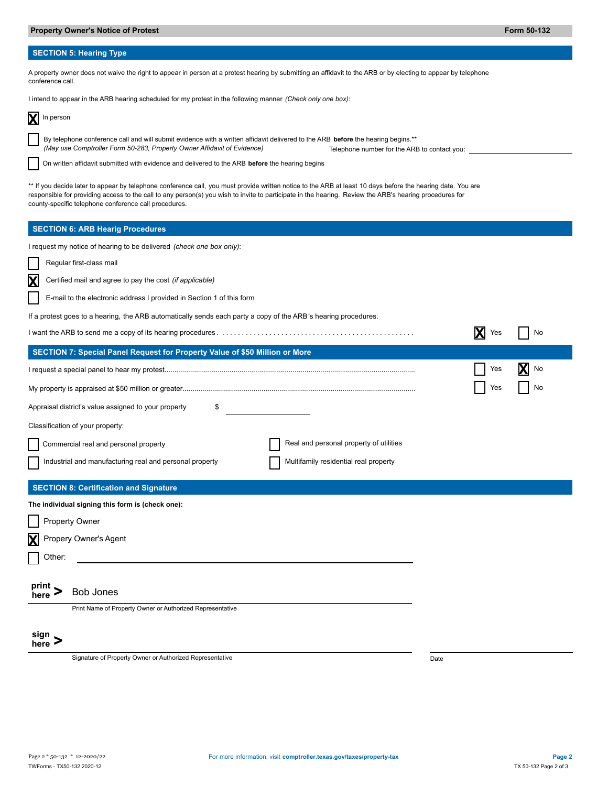### **SECTION 5: Hearing Type**

| A property owner does not waive the right to appear in person at a protest hearing by submitting an affidavit to the ARB or by electing to appear by telephone<br>conference call.                                                                                                                                                                                              |                       |  |
|---------------------------------------------------------------------------------------------------------------------------------------------------------------------------------------------------------------------------------------------------------------------------------------------------------------------------------------------------------------------------------|-----------------------|--|
| I intend to appear in the ARB hearing scheduled for my protest in the following manner (Check only one box):                                                                                                                                                                                                                                                                    |                       |  |
| In person                                                                                                                                                                                                                                                                                                                                                                       |                       |  |
| By telephone conference call and will submit evidence with a written affidavit delivered to the ARB before the hearing begins.**<br>(May use Comptroller Form 50-283, Property Owner Affidavit of Evidence)<br>Telephone number for the ARB to contact you:                                                                                                                     |                       |  |
| On written affidavit submitted with evidence and delivered to the ARB before the hearing begins                                                                                                                                                                                                                                                                                 |                       |  |
| ** If you decide later to appear by telephone conference call, you must provide written notice to the ARB at least 10 days before the hearing date. You are<br>responsible for providing access to the call to any person(s) you wish to invite to participate in the hearing. Review the ARB's hearing procedures for<br>county-specific telephone conference call procedures. |                       |  |
| <b>SECTION 6: ARB Hearig Procedures</b>                                                                                                                                                                                                                                                                                                                                         |                       |  |
| I request my notice of hearing to be delivered (check one box only):                                                                                                                                                                                                                                                                                                            |                       |  |
| Regular first-class mail                                                                                                                                                                                                                                                                                                                                                        |                       |  |
| X<br>Certified mail and agree to pay the cost (if applicable)                                                                                                                                                                                                                                                                                                                   |                       |  |
| E-mail to the electronic address I provided in Section 1 of this form                                                                                                                                                                                                                                                                                                           |                       |  |
| If a protest goes to a hearing, the ARB automatically sends each party a copy of the ARB's hearing procedures.                                                                                                                                                                                                                                                                  |                       |  |
|                                                                                                                                                                                                                                                                                                                                                                                 | <b>X</b><br>Yes<br>No |  |
| SECTION 7: Special Panel Request for Property Value of \$50 Million or More                                                                                                                                                                                                                                                                                                     |                       |  |
|                                                                                                                                                                                                                                                                                                                                                                                 | No<br>Yes             |  |
|                                                                                                                                                                                                                                                                                                                                                                                 | No<br>Yes             |  |
| Appraisal district's value assigned to your property<br>\$                                                                                                                                                                                                                                                                                                                      |                       |  |
| Classification of your property:                                                                                                                                                                                                                                                                                                                                                |                       |  |
| Real and personal property of utilities<br>Commercial real and personal property                                                                                                                                                                                                                                                                                                |                       |  |
| Industrial and manufacturing real and personal property<br>Multifamily residential real property                                                                                                                                                                                                                                                                                |                       |  |
| <b>SECTION 8: Certification and Signature</b>                                                                                                                                                                                                                                                                                                                                   |                       |  |
| The individual signing this form is (check one):                                                                                                                                                                                                                                                                                                                                |                       |  |
| Property Owner                                                                                                                                                                                                                                                                                                                                                                  |                       |  |
| Propery Owner's Agent<br>$\mathbf{x}$                                                                                                                                                                                                                                                                                                                                           |                       |  |
| Other:                                                                                                                                                                                                                                                                                                                                                                          |                       |  |
| print,<br><b>Bob Jones</b><br>here                                                                                                                                                                                                                                                                                                                                              |                       |  |
| Print Name of Property Owner or Authorized Representative                                                                                                                                                                                                                                                                                                                       |                       |  |
| sign<br>here                                                                                                                                                                                                                                                                                                                                                                    |                       |  |
| Signature of Property Owner or Authorized Representative                                                                                                                                                                                                                                                                                                                        | Date                  |  |